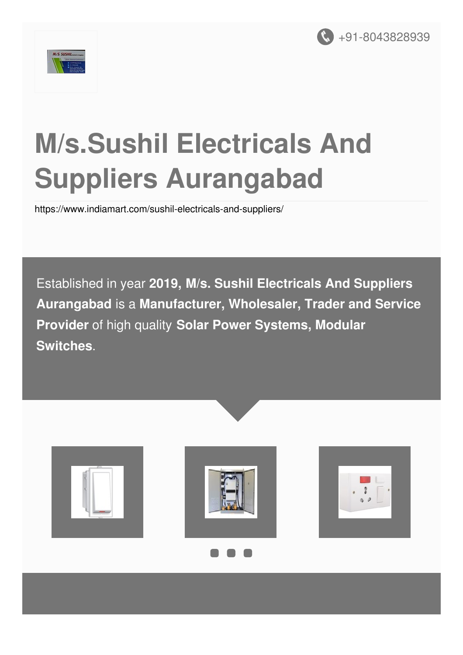



# **M/s.Sushil Electricals And Suppliers Aurangabad**

<https://www.indiamart.com/sushil-electricals-and-suppliers/>

Established in year **2019, M/s. Sushil Electricals And Suppliers Aurangabad** is a **Manufacturer, Wholesaler, Trader and Service Provider** of high quality **Solar Power Systems, Modular Switches**.





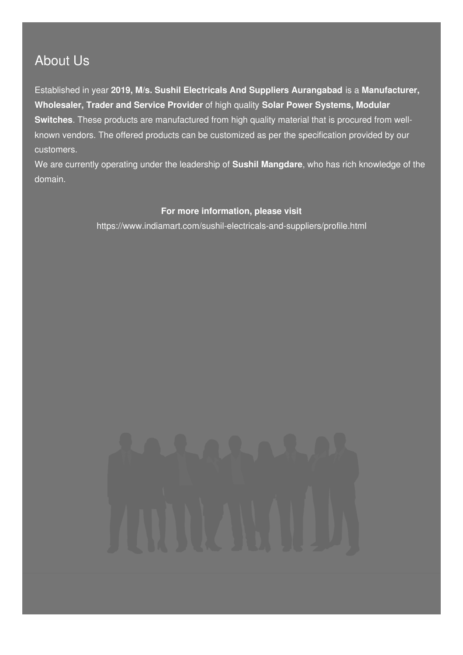### About Us

Established in year **2019, M/s. Sushil Electricals And Suppliers Aurangabad** is a **Manufacturer, Wholesaler, Trader and Service Provider** of high quality **Solar Power Systems, Modular Switches**. These products are manufactured from high quality material that is procured from wellknown vendors. The offered products can be customized as per the specification provided by our customers.

We are currently operating under the leadership of **Sushil Mangdare**, who has rich knowledge of the domain.

#### **For more information, please visit**

<https://www.indiamart.com/sushil-electricals-and-suppliers/profile.html>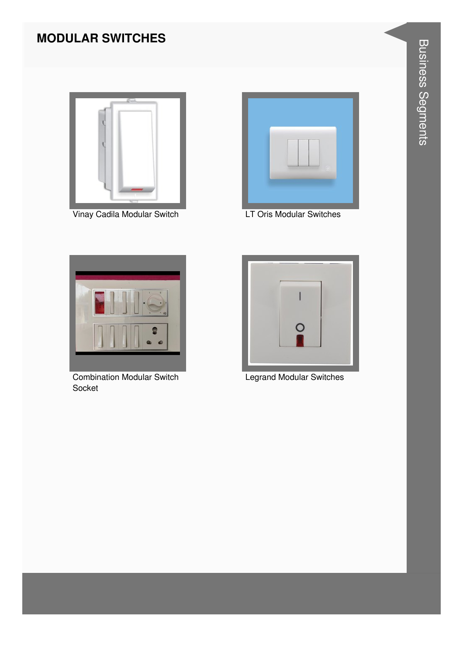#### **MODULAR SWITCHES**



Vinay Cadila Modular Switch



LT Oris Modular Switches



**Combination Modular Switch** Socket



**Legrand Modular Switches**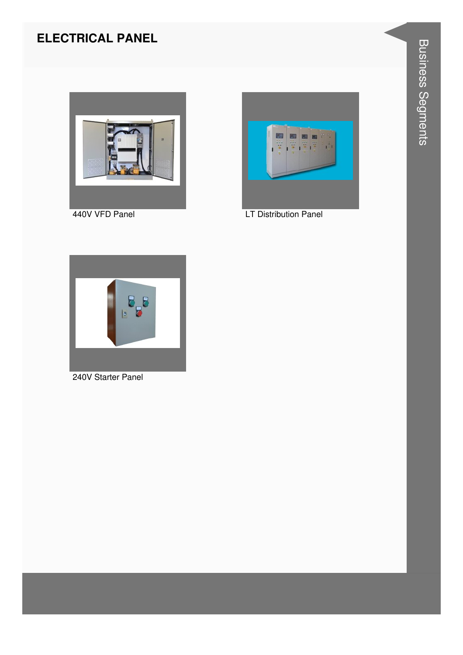#### **ELECTRICAL PANEL**



440V VFD Panel



**LT Distribution Panel** 



240V Starter Panel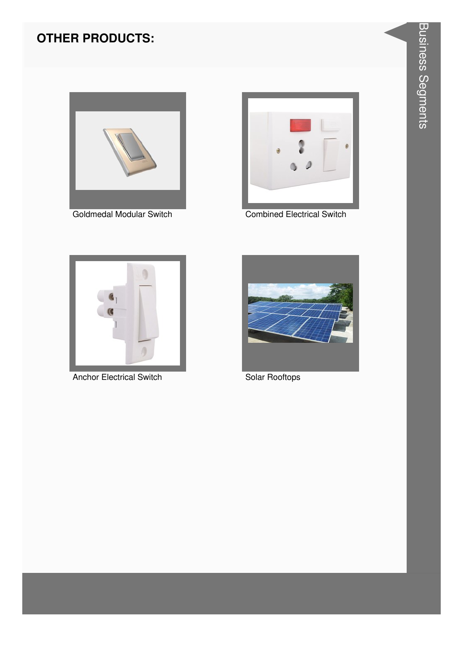#### **OTHER PRODUCTS:**





**Combined Electrical Switch** 



**Anchor Electrical Switch** 



Solar Rooftops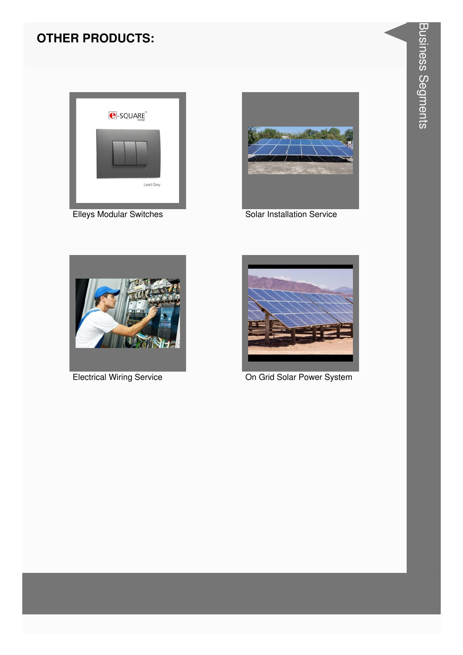#### **OTHER PRODUCTS:**



**Elleys Modular Switches** 



Solar Installation Service



**Electrical Wiring Service** 



On Grid Solar Power System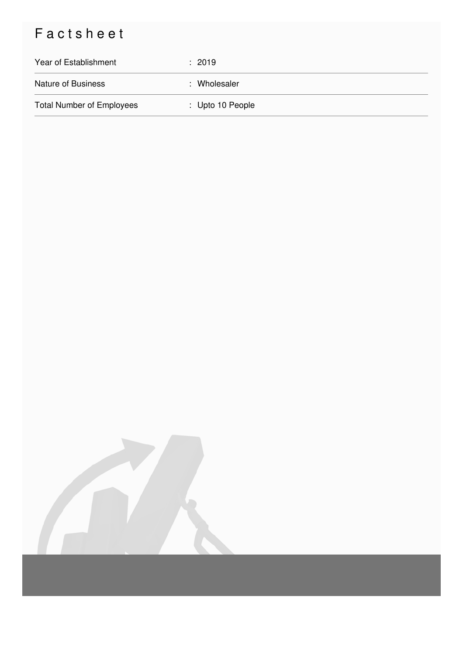## Factsheet

| Year of Establishment            | : 2019           |
|----------------------------------|------------------|
| <b>Nature of Business</b>        | : Wholesaler     |
| <b>Total Number of Employees</b> | : Upto 10 People |